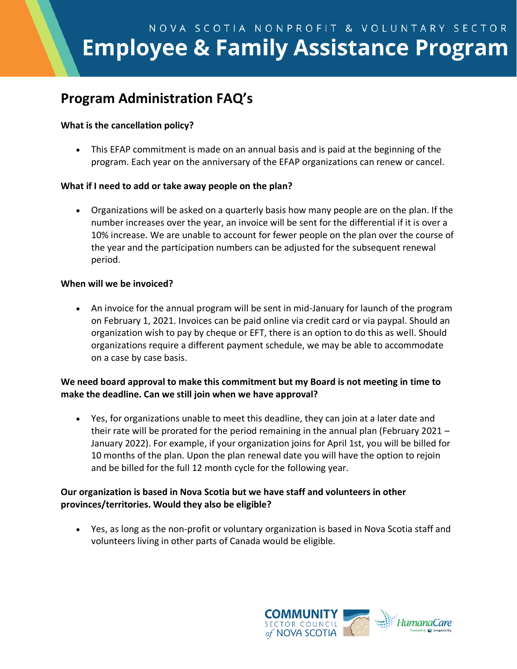# NOVA SCOTIA NONPROFIT & VOLUNTARY SECTOR **Employee & Family Assistance Program**

# **Program Administration FAQ's**

### **What is the cancellation policy?**

• This EFAP commitment is made on an annual basis and is paid at the beginning of the program. Each year on the anniversary of the EFAP organizations can renew or cancel.

#### **What if I need to add or take away people on the plan?**

• Organizations will be asked on a quarterly basis how many people are on the plan. If the number increases over the year, an invoice will be sent for the differential if it is over a 10% increase. We are unable to account for fewer people on the plan over the course of the year and the participation numbers can be adjusted for the subsequent renewal period.

#### **When will we be invoiced?**

• An invoice for the annual program will be sent in mid-January for launch of the program on February 1, 2021. Invoices can be paid online via credit card or via paypal. Should an organization wish to pay by cheque or EFT, there is an option to do this as well. Should organizations require a different payment schedule, we may be able to accommodate on a case by case basis.

## **We need board approval to make this commitment but my Board is not meeting in time to make the deadline. Can we still join when we have approval?**

• Yes, for organizations unable to meet this deadline, they can join at a later date and their rate will be prorated for the period remaining in the annual plan (February 2021 – January 2022). For example, if your organization joins for April 1st, you will be billed for 10 months of the plan. Upon the plan renewal date you will have the option to rejoin and be billed for the full 12 month cycle for the following year.

## **Our organization is based in Nova Scotia but we have staff and volunteers in other provinces/territories. Would they also be eligible?**

• Yes, as long as the non-profit or voluntary organization is based in Nova Scotia staff and volunteers living in other parts of Canada would be eligible.